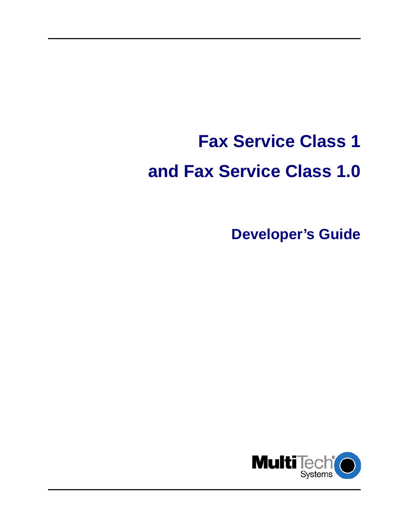# **Fax Service Class 1 and Fax Service Class 1.0**

**Developer's Guide** 

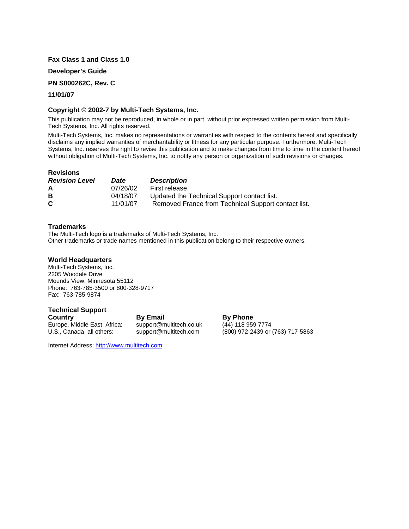#### **Fax Class 1 and Class 1.0**

**Developer's Guide** 

**PN S000262C, Rev. C** 

#### **11/01/07**

#### **Copyright © 2002-7 by Multi-Tech Systems, Inc.**

This publication may not be reproduced, in whole or in part, without prior expressed written permission from Multi-Tech Systems, Inc. All rights reserved.

Multi-Tech Systems, Inc. makes no representations or warranties with respect to the contents hereof and specifically disclaims any implied warranties of merchantability or fitness for any particular purpose. Furthermore, Multi-Tech Systems, Inc. reserves the right to revise this publication and to make changes from time to time in the content hereof without obligation of Multi-Tech Systems, Inc. to notify any person or organization of such revisions or changes.

#### **Revisions**

| <b>Revision Level</b> | Date     | <b>Description</b>                                  |
|-----------------------|----------|-----------------------------------------------------|
| A                     | 07/26/02 | First release.                                      |
| В                     | 04/18/07 | Updated the Technical Support contact list.         |
| C.                    | 11/01/07 | Removed France from Technical Support contact list. |

#### **Trademarks**

The Multi-Tech logo is a trademarks of Multi-Tech Systems, Inc. Other trademarks or trade names mentioned in this publication belong to their respective owners.

#### **World Headquarters**

Multi-Tech Systems, Inc. 2205 Woodale Drive Mounds View, Minnesota 55112 Phone: 763-785-3500 or 800-328-9717 Fax: 763-785-9874

#### **Technical Support**

| .<br>Country                 | <b>By Email</b>         | <b>By Phone</b> |
|------------------------------|-------------------------|-----------------|
| Europe, Middle East, Africa: | support@multitech.co.uk | $(44)$ 118 959  |
| U.S., Canada, all others:    | support@multitech.com   | $(800)$ 972-2   |

 $\frac{1}{16}$  (44) 118 959 7774 U.S., Canada, all others: support@multitech.com (800) 972-2439 or (763) 717-5863

Internet Address: [http://www.multitech.com](http://www.multitech.com/)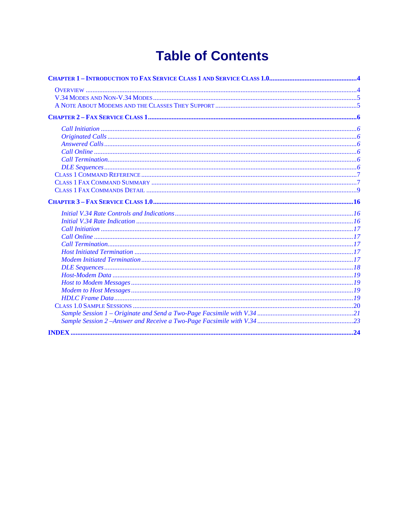# **Table of Contents**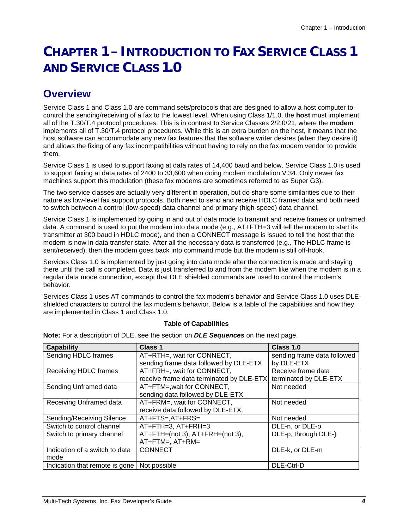# <span id="page-3-0"></span>**CHAPTER 1 – INTRODUCTION TO FAX SERVICE CLASS 1 AND SERVICE CLASS 1.0**

### <span id="page-3-1"></span>**Overview**

Service Class 1 and Class 1.0 are command sets/protocols that are designed to allow a host computer to control the sending/receiving of a fax to the lowest level. When using Class 1/1.0, the **host** must implement all of the T.30/T.4 protocol procedures. This is in contrast to Service Classes 2/2.0/21, where the **modem** implements all of T.30/T.4 protocol procedures. While this is an extra burden on the host, it means that the host software can accommodate any new fax features that the software writer desires (when they desire it) and allows the fixing of any fax incompatibilities without having to rely on the fax modem vendor to provide them.

Service Class 1 is used to support faxing at data rates of 14,400 baud and below. Service Class 1.0 is used to support faxing at data rates of 2400 to 33,600 when doing modem modulation V.34. Only newer fax machines support this modulation (these fax modems are sometimes referred to as Super G3).

The two service classes are actually very different in operation, but do share some similarities due to their nature as low-level fax support protocols. Both need to send and receive HDLC framed data and both need to switch between a control (low-speed) data channel and primary (high-speed) data channel.

Service Class 1 is implemented by going in and out of data mode to transmit and receive frames or unframed data. A command is used to put the modem into data mode (e.g., AT+FTH=3 will tell the modem to start its transmitter at 300 baud in HDLC mode), and then a CONNECT message is issued to tell the host that the modem is now in data transfer state. After all the necessary data is transferred (e.g., The HDLC frame is sent/received), then the modem goes back into command mode but the modem is still off-hook.

Services Class 1.0 is implemented by just going into data mode after the connection is made and staying there until the call is completed. Data is just transferred to and from the modem like when the modem is in a regular data mode connection, except that DLE shielded commands are used to control the modem's behavior.

Services Class 1 uses AT commands to control the fax modem's behavior and Service Class 1.0 uses DLEshielded characters to control the fax modem's behavior. Below is a table of the capabilities and how they are implemented in Class 1 and Class 1.0.

#### **Table of Capabilities**

| <b>Capability</b>              | Class 1                                       | Class 1.0                   |
|--------------------------------|-----------------------------------------------|-----------------------------|
| Sending HDLC frames            | AT+RTH=, wait for CONNECT,                    | sending frame data followed |
|                                | sending frame data followed by DLE-ETX        | by DLE-ETX                  |
| Receiving HDLC frames          | AT+FRH=, wait for CONNECT,                    | Receive frame data          |
|                                | receive frame data terminated by DLE-ETX      | terminated by DLE-ETX       |
| Sending Unframed data          | AT+FTM=, wait for CONNECT,                    | Not needed                  |
|                                | sending data followed by DLE-ETX              |                             |
| Receiving Unframed data        | AT+FRM=, wait for CONNECT,                    | Not needed                  |
|                                | receive data followed by DLE-ETX.             |                             |
| Sending/Receiving Silence      | $AT + FTS = .AT + FRS =$                      | Not needed                  |
| Switch to control channel      | AT+FTH=3, AT+FRH=3                            | DLE-n, or DLE-o             |
| Switch to primary channel      | $AT + FTH = (not 3)$ , $AT + FRH = (not 3)$ , | DLE-p, through DLE-}        |
|                                | $AT + FTM =$ , $AT + RM =$                    |                             |
| Indication of a switch to data | <b>CONNECT</b>                                | DLE-k, or DLE-m             |
| mode                           |                                               |                             |
| Indication that remote is gone | Not possible                                  | DLE-Ctrl-D                  |

**Note:** For a description of DLE, see the section on *DLE Sequences* on the next page.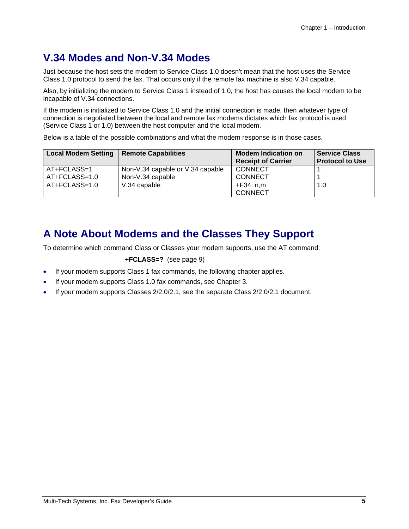### <span id="page-4-0"></span>**V.34 Modes and Non-V.34 Modes**

Just because the host sets the modem to Service Class 1.0 doesn't mean that the host uses the Service Class 1.0 protocol to send the fax. That occurs only if the remote fax machine is also V.34 capable.

Also, by initializing the modem to Service Class 1 instead of 1.0, the host has causes the local modem to be incapable of V.34 connections.

If the modem is initialized to Service Class 1.0 and the initial connection is made, then whatever type of connection is negotiated between the local and remote fax modems dictates which fax protocol is used (Service Class 1 or 1.0) between the host computer and the local modem.

Below is a table of the possible combinations and what the modem response is in those cases.

| <b>Local Modem Setting</b> | <b>Remote Capabilities</b>       | <b>Modem Indication on</b><br><b>Receipt of Carrier</b> | <b>Service Class</b><br><b>Protocol to Use</b> |
|----------------------------|----------------------------------|---------------------------------------------------------|------------------------------------------------|
| AT+FCLASS=1                | Non-V.34 capable or V.34 capable | CONNECT                                                 |                                                |
| AT+FCLASS=1.0              | Non-V.34 capable                 | <b>CONNECT</b>                                          |                                                |
| AT+FCLASS=1.0              | V.34 capable                     | +F34: n,m                                               | 1.0                                            |
|                            |                                  | <b>CONNECT</b>                                          |                                                |

### <span id="page-4-1"></span>**A Note About Modems and the Classes They Support**

To determine which command Class or Classes your modem supports, use the AT command:

#### **+FCLASS=?** (see page 9)

- If your modem supports Class 1 fax commands, the following chapter applies.
- If your modem supports Class 1.0 fax commands, see Chapter 3.
- If your modem supports Classes 2/2.0/2.1, see the separate Class 2/2.0/2.1 document.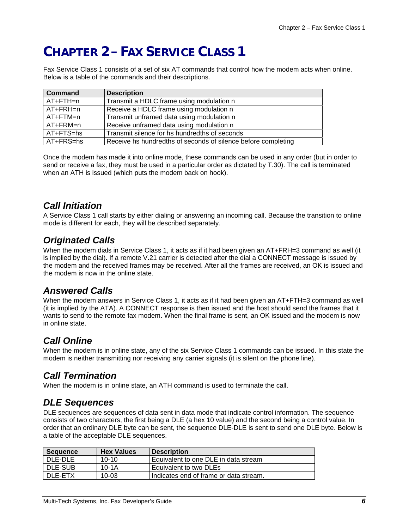# <span id="page-5-0"></span>**CHAPTER 2 – FAX SERVICE CLASS 1**

Fax Service Class 1 consists of a set of six AT commands that control how the modem acts when online. Below is a table of the commands and their descriptions.

| <b>Command</b> | <b>Description</b>                                            |
|----------------|---------------------------------------------------------------|
| AT+FTH=n       | Transmit a HDLC frame using modulation n                      |
| AT+FRH=n       | Receive a HDLC frame using modulation n                       |
| l AT+FTM=n     | Transmit unframed data using modulation n                     |
| l AT+FRM=n     | Receive unframed data using modulation n                      |
| AT+FTS=hs      | Transmit silence for hs hundredths of seconds                 |
| AT+FRS=hs      | Receive hs hundredths of seconds of silence before completing |

Once the modem has made it into online mode, these commands can be used in any order (but in order to send or receive a fax, they must be used in a particular order as dictated by T.30). The call is terminated when an ATH is issued (which puts the modem back on hook).

### <span id="page-5-1"></span>*Call Initiation*

A Service Class 1 call starts by either dialing or answering an incoming call. Because the transition to online mode is different for each, they will be described separately.

### <span id="page-5-2"></span>*Originated Calls*

When the modem dials in Service Class 1, it acts as if it had been given an AT+FRH=3 command as well (it is implied by the dial). If a remote V.21 carrier is detected after the dial a CONNECT message is issued by the modem and the received frames may be received. After all the frames are received, an OK is issued and the modem is now in the online state.

### <span id="page-5-3"></span>*Answered Calls*

When the modem answers in Service Class 1, it acts as if it had been given an AT+FTH=3 command as well (it is implied by the ATA). A CONNECT response is then issued and the host should send the frames that it wants to send to the remote fax modem. When the final frame is sent, an OK issued and the modem is now in online state.

### <span id="page-5-4"></span>*Call Online*

When the modem is in online state, any of the six Service Class 1 commands can be issued. In this state the modem is neither transmitting nor receiving any carrier signals (it is silent on the phone line).

### <span id="page-5-5"></span>*Call Termination*

When the modem is in online state, an ATH command is used to terminate the call.

### <span id="page-5-6"></span>*DLE Sequences*

DLE sequences are sequences of data sent in data mode that indicate control information. The sequence consists of two characters, the first being a DLE (a hex 10 value) and the second being a control value. In order that an ordinary DLE byte can be sent, the sequence DLE-DLE is sent to send one DLE byte. Below is a table of the acceptable DLE sequences.

| <b>Sequence</b> | <b>Hex Values</b> | <b>Description</b>                     |
|-----------------|-------------------|----------------------------------------|
| DLE-DLE         | $10-10$           | Equivalent to one DLE in data stream   |
| DLE-SUB         | $10 - 1A$         | <b>Equivalent to two DLEs</b>          |
| DLE-ETX         | $10 - 03$         | Indicates end of frame or data stream. |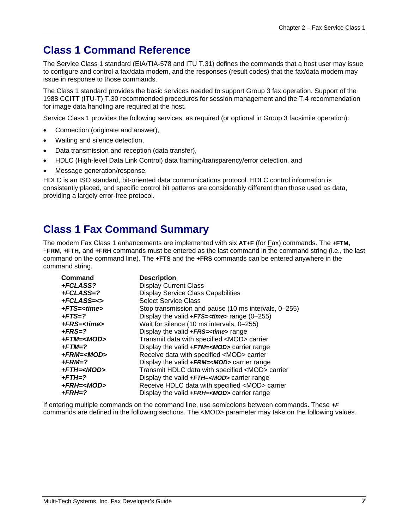### <span id="page-6-0"></span>**Class 1 Command Reference**

The Service Class 1 standard (EIA/TIA-578 and ITU T.31) defines the commands that a host user may issue to configure and control a fax/data modem, and the responses (result codes) that the fax/data modem may issue in response to those commands.

The Class 1 standard provides the basic services needed to support Group 3 fax operation. Support of the 1988 CCITT (ITU-T) T.30 recommended procedures for session management and the T.4 recommendation for image data handling are required at the host.

Service Class 1 provides the following services, as required (or optional in Group 3 facsimile operation):

- Connection (originate and answer),
- Waiting and silence detection,
- Data transmission and reception (data transfer),
- HDLC (High-level Data Link Control) data framing/transparency/error detection, and
- Message generation/response.

HDLC is an ISO standard, bit-oriented data communications protocol. HDLC control information is consistently placed, and specific control bit patterns are considerably different than those used as data, providing a largely error-free protocol.

### <span id="page-6-1"></span>**Class 1 Fax Command Summary**

The modem Fax Class 1 enhancements are implemented with six **AT+F** (for Fax) commands. The **+FTM**, +**FRM**, **+FTH**, and **+FRH** commands must be entered as the last command in the command string (i.e., the last command on the command line). The **+FTS** and the **+FRS** commands can be entered anywhere in the command string.

| Command             | <b>Description</b>                                    |
|---------------------|-------------------------------------------------------|
| +FCLASS?            | <b>Display Current Class</b>                          |
| +FCLASS=?           | <b>Display Service Class Capabilities</b>             |
| +FCLASS=<>          | <b>Select Service Class</b>                           |
| +FTS= <time></time> | Stop transmission and pause (10 ms intervals, 0-255)  |
| $+FTS=?$            | Display the valid $+FTS=$ -time> range (0-255)        |
| +FRS= <time></time> | Wait for silence (10 ms intervals, 0–255)             |
| $+FRS=?$            | Display the valid +FRS= <time> range</time>           |
| +FTM= <mod></mod>   | Transmit data with specified <mod> carrier</mod>      |
| $+FTM=?$            | Display the valid +FTM= <mod> carrier range</mod>     |
| +FRM= <mod></mod>   | Receive data with specified <mod> carrier</mod>       |
| $+$ FRM=?           | Display the valid +FRM= <mod> carrier range</mod>     |
| +FTH= <mod></mod>   | Transmit HDLC data with specified <mod> carrier</mod> |
| $+FTH=?$            | Display the valid +FTH= <mod> carrier range</mod>     |
| +FRH= <mod></mod>   | Receive HDLC data with specified <mod> carrier</mod>  |
| $+$ FRH=?           | Display the valid +FRH= <mod> carrier range</mod>     |

If entering multiple commands on the command line, use semicolons between commands. These *+F* commands are defined in the following sections. The <MOD> parameter may take on the following values.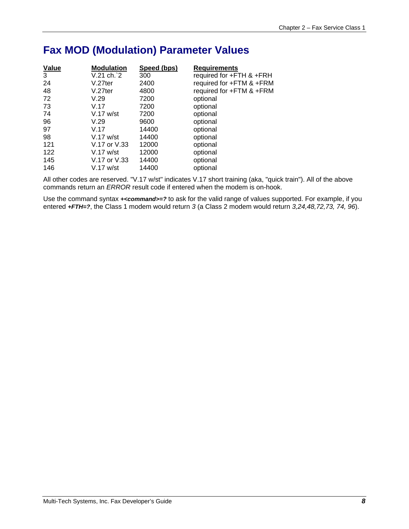### **Fax MOD (Modulation) Parameter Values**

| Value | <b>Modulation</b> | Speed (bps) | <b>Requirements</b>      |
|-------|-------------------|-------------|--------------------------|
| 3     | V.21 ch.`2        | 300         | required for +FTH & +FRH |
| 24    | $V.27$ ter        | 2400        | required for +FTM & +FRM |
| 48    | V.27ter           | 4800        | required for +FTM & +FRM |
| 72    | V.29              | 7200        | optional                 |
| 73    | V.17              | 7200        | optional                 |
| 74    | $V.17$ w/st       | 7200        | optional                 |
| 96    | V.29              | 9600        | optional                 |
| 97    | V.17              | 14400       | optional                 |
| 98    | $V.17$ w/st       | 14400       | optional                 |
| 121   | V.17 or V.33      | 12000       | optional                 |
| 122   | $V.17$ w/st       | 12000       | optional                 |
| 145   | V.17 or V.33      | 14400       | optional                 |
| 146   | V.17 w/st         | 14400       | optional                 |

All other codes are reserved. "V.17 w/st" indicates V.17 short training (aka, "quick train"). All of the above commands return an *ERROR* result code if entered when the modem is on-hook.

Use the command syntax *+<command>=?* to ask for the valid range of values supported. For example, if you entered *+FTH=?*, the Class 1 modem would return *3* (a Class 2 modem would return *3,24,48,72,73, 74, 96*).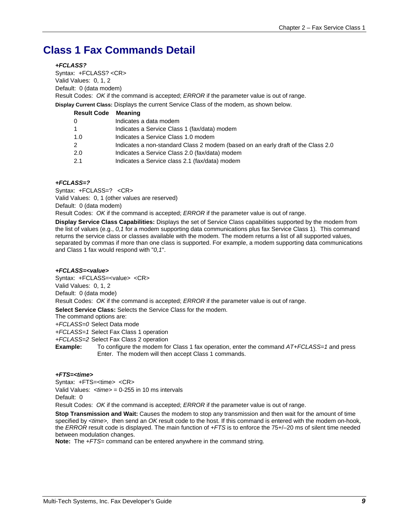### <span id="page-8-0"></span>**Class 1 Fax Commands Detail**

#### *+FCLASS?*

Syntax: +FCLASS? <CR> Valid Values: 0, 1, 2 Default: 0 (data modem) Result Codes: *OK* if the command is accepted; *ERROR* if the parameter value is out of range. **Display Current Class:** Displays the current Service Class of the modem, as shown below. **Result Code Meaning** 

| 0   | Indicates a data modem                                                           |
|-----|----------------------------------------------------------------------------------|
|     | Indicates a Service Class 1 (fax/data) modem                                     |
| 1.0 | Indicates a Service Class 1.0 modem                                              |
| 2   | Indicates a non-standard Class 2 modem (based on an early draft of the Class 2.0 |
| 2.0 | Indicates a Service Class 2.0 (fax/data) modem                                   |
| 2.1 | Indicates a Service class 2.1 (fax/data) modem                                   |

#### *+FCLASS=?*

Syntax: +FCLASS=? <CR> Valid Values: 0, 1 (other values are reserved) Default: 0 (data modem)

Result Codes: *OK* if the command is accepted; *ERROR* if the parameter value is out of range.

**Display Service Class Capabilities:** Displays the set of Service Class capabilities supported by the modem from the list of values (e.g., *0,1* for a modem supporting data communications plus fax Service Class 1). This command returns the service class or classes available with the modem. The modem returns a list of all supported values, separated by commas if more than one class is supported. For example, a modem supporting data communications and Class 1 fax would respond with "*0,1*".

#### *+FCLASS=<value>*

Syntax: +FCLASS=<value> <CR>

Valid Values: 0, 1, 2 Default: 0 (data mode)

Result Codes: *OK* if the command is accepted; *ERROR* if the parameter value is out of range.

**Select Service Class:** Selects the Service Class for the modem.

The command options are:

*+FCLASS=0* Select Data mode

*+FCLASS=1* Select Fax Class 1 operation

*+FCLASS=2* Select Fax Class 2 operation

**Example:** To configure the modem for Class 1 fax operation, enter the command *AT+FCLASS=1* and press Enter. The modem will then accept Class 1 commands.

#### *+FTS=<time>*

Syntax: +FTS=<time> <CR> Valid Values: *<time>* = 0-255 in 10 ms intervals Default: 0

Result Codes: *OK* if the command is accepted; *ERROR* if the parameter value is out of range.

**Stop Transmission and Wait:** Causes the modem to stop any transmission and then wait for the amount of time specified by *<time>,* then send an *OK* result code to the host. If this command is entered with the modem on-hook, the *ERROR* result code is displayed. The main function of *+FTS* is to enforce the 75+/–20 ms of silent time needed between modulation changes.

**Note:** The *+FTS=* command can be entered anywhere in the command string.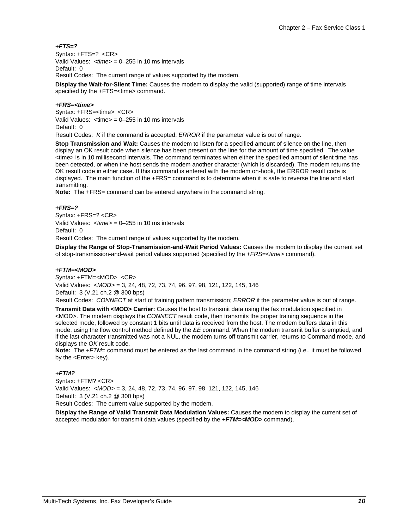*+FTS=?*  Syntax: +FTS=? <CR> Valid Values: *<time>* = 0–255 in 10 ms intervals Default: 0 Result Codes: The current range of values supported by the modem.

**Display the Wait-for-Silent Time:** Causes the modem to display the valid (supported) range of time intervals specified by the +FTS=<time> command.

#### *+FRS=<time>*

Syntax: +FRS=<time> <CR> Valid Values:  $\langle$  time $\rangle$  = 0–255 in 10 ms intervals Default: 0 Result Codes: *K* if the command is accepted; *ERROR* if the parameter value is out of range.

**Stop Transmission and Wait:** Causes the modem to listen for a specified amount of silence on the line, then display an OK result code when silence has been present on the line for the amount of time specified. The value <time> is in 10 millisecond intervals. The command terminates when either the specified amount of silent time has been detected, or when the host sends the modem another character (which is discarded). The modem returns the OK result code in either case. If this command is entered with the modem on-hook, the ERROR result code is displayed. The main function of the +FRS= command is to determine when it is safe to reverse the line and start transmitting.

**Note:** The +FRS= command can be entered anywhere in the command string.

#### *+FRS=?*

Syntax: +FRS=? <CR> Valid Values: *<time>* = 0–255 in 10 ms intervals Default: 0

Result Codes: The current range of values supported by the modem.

**Display the Range of Stop-Transmission-and-Wait Period Values:** Causes the modem to display the current set of stop-transmission-and-wait period values supported (specified by the *+FRS=<time>* command).

#### *+FTM=<MOD>*

Syntax: +FTM=<MOD> <CR> Valid Values: *<MOD>* = 3, 24, 48, 72, 73, 74, 96, 97, 98, 121, 122, 145, 146 Default: 3 (V.21 ch.2 @ 300 bps)

Result Codes: *CONNECT* at start of training pattern transmission; *ERROR* if the parameter value is out of range.

**Transmit Data with <MOD> Carrier:** Causes the host to transmit data using the fax modulation specified in <MOD>. The modem displays the *CONNECT* result code, then transmits the proper training sequence in the selected mode, followed by constant 1 bits until data is received from the host. The modem buffers data in this mode, using the flow control method defined by the *&E* command. When the modem transmit buffer is emptied, and if the last character transmitted was not a NUL, the modem turns off transmit carrier, returns to Command mode, and displays the *OK* result code.

**Note:** The *+FTM=* command must be entered as the last command in the command string (i.e., it must be followed by the <Enter> key).

#### *+FTM?*

Syntax: +FTM? <CR> Valid Values: *<MOD>* = 3, 24, 48, 72, 73, 74, 96, 97, 98, 121, 122, 145, 146 Default: 3 (V.21 ch.2 @ 300 bps) Result Codes: The current value supported by the modem.

**Display the Range of Valid Transmit Data Modulation Values:** Causes the modem to display the current set of accepted modulation for transmit data values (specified by the *+FTM=<MOD>* command).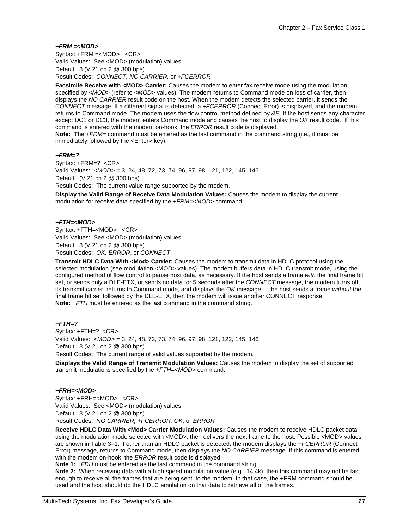#### *+FRM =<MOD>*

Syntax: +FRM =<MOD> <CR> Valid Values: See <MOD> (modulation) values Default: 3 (V.21 ch.2 @ 300 bps) Result Codes: *CONNECT, NO CARRIER,* or *+FCERROR*

**Facsimile Receive with <MOD> Carrier:** Causes the modem to enter fax receive mode using the modulation specified by <MOD> (refer to <MOD> values). The modem returns to Command mode on loss of carrier, then displays the *NO CARRIER* result code on the host. When the modem detects the selected carrier, it sends the *CONNECT* message. If a different signal is detected, a *+FCERROR* (Connect Error) is displayed, and the modem returns to Command mode. The modem uses the flow control method defined by *&E*. If the host sends any character except DC1 or DC3, the modem enters Command mode and causes the host to display the *OK* result code. If this command is entered with the modem on-hook, the *ERROR* result code is displayed.

**Note:** The *+FRM=* command must be entered as the last command in the command string (i.e., it must be immediately followed by the <Enter> key).

#### *+FRM=?*

Syntax: +FRM=? <CR> Valid Values: *<MOD>* = 3, 24, 48, 72, 73, 74, 96, 97, 98, 121, 122, 145, 146 Default: (V.21 ch.2 @ 300 bps) Result Codes: The current value range supported by the modem.

**Display the Valid Range of Receive Data Modulation Values:** Causes the modem to display the current modulation for receive data specified by the *+FRM=<MOD>* command.

#### *+FTH=<MOD>*

Syntax: +FTH=<MOD> <CR> Valid Values: See <MOD> (modulation) values Default: 3 (V.21 ch.2 @ 300 bps) Result Codes: *OK, ERROR*, or *CONNECT*

**Transmit HDLC Data With <Mod> Carrier:** Causes the modem to transmit data in HDLC protocol using the selected modulation (see modulation <MOD> values). The modem buffers data in HDLC transmit mode, using the configured method of flow control to pause host data, as necessary. If the host sends a frame *with* the final frame bit set, or sends only a DLE-ETX, or sends no data for 5 seconds after the *CONNECT* message, the modem turns off its transmit carrier, returns to Command mode, and displays the *OK* message. If the host sends a frame *without* the final frame bit set followed by the DLE-ETX, then the modem will issue another CONNECT response. **Note:** *+FTH* must be entered as the last command in the command string.

#### *+FTH=?*

Syntax: +FTH=? <CR> Valid Values: *<MOD>* = 3, 24, 48, 72, 73, 74, 96, 97, 98, 121, 122, 145, 146 Default: 3 (V.21 ch.2 @ 300 bps) Result Codes: The current range of valid values supported by the modem.

**Displays the Valid Range of Transmit Modulation Values:** Causes the modem to display the set of supported transmit modulations specified by the *+FTH=<MOD>* command.

#### *+FRH=<MOD>*

Syntax: +FRH=<MOD> <CR> Valid Values: See <MOD> (modulation) values Default: 3 (V.21 ch.2 @ 300 bps) Result Codes: *NO CARRIER, +FCERROR, OK,* or *ERROR* 

**Receive HDLC Data With <Mod> Carrier Modulation Values:** Causes the modem to receive HDLC packet data using the modulation mode selected with <MOD>, then delivers the next frame to the host. Possible <MOD> values are shown in Table 3–1. If other than an HDLC packet is detected, the modem displays the *+FCERROR* (Connect Error) message, returns to Command mode, then displays the *NO CARRIER* message. If this command is entered with the modem on-hook, the *ERROR* result code is displayed.

**Note 1:** *+FRH* must be entered as the last command in the command string.

**Note 2:** When receiving data with a high speed modulation value (e.g., 14.4k), then this command may not be fast enough to receive all the frames that are being sent to the modem. In that case, the +FRM command should be used and the host should do the HDLC emulation on that data to retrieve all of the frames.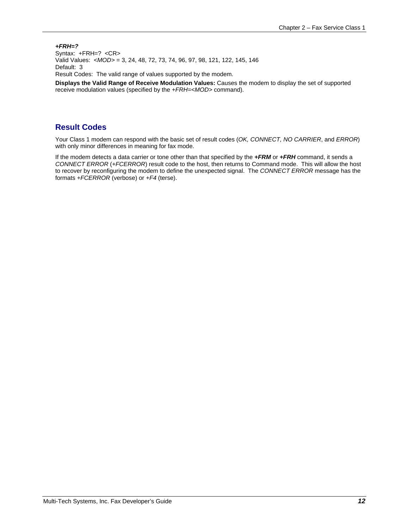*+FRH=?*  Syntax: +FRH=? <CR> Valid Values: *<MOD>* = 3, 24, 48, 72, 73, 74, 96, 97, 98, 121, 122, 145, 146 Default: 3 Result Codes: The valid range of values supported by the modem.

**Displays the Valid Range of Receive Modulation Values:** Causes the modem to display the set of supported receive modulation values (specified by the *+FRH=<MOD>* command).

#### **Result Codes**

Your Class 1 modem can respond with the basic set of result codes (*OK, CONNECT, NO CARRIER*, and *ERROR*) with only minor differences in meaning for fax mode.

If the modem detects a data carrier or tone other than that specified by the *+FRM* or *+FRH* command, it sends a *CONNECT ERROR* (*+FCERROR*) result code to the host, then returns to Command mode. This will allow the host to recover by reconfiguring the modem to define the unexpected signal. The *CONNECT ERROR* message has the formats *+FCERROR* (verbose) or *+F4* (terse).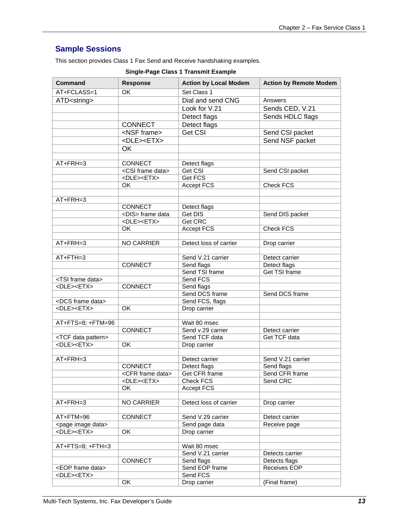### **Sample Sessions**

This section provides Class 1 Fax Send and Receive handshaking examples.

| <b>Command</b>                                            | Response                     | <b>Action by Local Modem</b>      | <b>Action by Remote Modem</b>        |
|-----------------------------------------------------------|------------------------------|-----------------------------------|--------------------------------------|
| AT+FCLASS=1                                               | $\overline{\text{OK}}$       | Set Class 1                       |                                      |
| ATD <string></string>                                     |                              | Dial and send CNG                 | Answers                              |
|                                                           |                              | Look for V.21                     | Sends CED, V.21                      |
|                                                           |                              | Detect flags                      | Sends HDLC flags                     |
|                                                           | <b>CONNECT</b>               | Detect flags                      |                                      |
|                                                           | <nsf frame=""></nsf>         | Get CSI                           | Send CSI packet                      |
|                                                           | <dle><etx></etx></dle>       |                                   |                                      |
|                                                           |                              |                                   | Send NSF packet                      |
|                                                           | OK                           |                                   |                                      |
|                                                           |                              |                                   |                                      |
| AT+FRH=3                                                  | <b>CONNECT</b>               | Detect flags                      |                                      |
|                                                           | <csi data="" frame=""></csi> | Get CSI                           | Send CSI packet                      |
|                                                           | <dle><etx></etx></dle>       | <b>Get FCS</b>                    |                                      |
|                                                           | <b>OK</b>                    | Accept FCS                        | Check FCS                            |
|                                                           |                              |                                   |                                      |
| AT+FRH=3                                                  |                              |                                   |                                      |
|                                                           | CONNECT                      | Detect flags                      |                                      |
|                                                           | <dis> frame data</dis>       | Get DIS                           | Send DIS packet                      |
|                                                           | <dle><etx></etx></dle>       | Get CRC                           |                                      |
|                                                           | <b>OK</b>                    | Accept FCS                        | Check FCS                            |
|                                                           |                              |                                   |                                      |
| $AT + FRH = 3$                                            | <b>NO CARRIER</b>            | Detect loss of carrier            | Drop carrier                         |
|                                                           |                              |                                   |                                      |
| $AT + FTH = 3$                                            |                              | Send V.21 carrier                 | Detect carrier                       |
|                                                           | <b>CONNECT</b>               | Send flags                        | Detect flags                         |
|                                                           |                              | Send TSI frame                    | Get TSI frame                        |
| <tsi data="" frame=""></tsi>                              |                              | Send FCS                          |                                      |
| <dle><etx></etx></dle>                                    | CONNECT                      | Send flags                        |                                      |
|                                                           |                              | Send DCS frame                    | Send DCS frame                       |
| <dcs data="" frame=""></dcs>                              |                              | Send FCS, flags                   |                                      |
| <dle><etx></etx></dle>                                    | OK                           | Drop carrier                      |                                      |
|                                                           |                              |                                   |                                      |
| AT+FTS=8; +FTM=96                                         |                              | Wait 80 msec                      |                                      |
|                                                           | CONNECT                      | Send v.29 carrier                 | Detect carrier                       |
| <tcf data="" pattern=""></tcf>                            |                              | Send TCF data                     | Get TCF data                         |
| <dle><etx></etx></dle>                                    | OK                           | Drop carrier                      |                                      |
|                                                           |                              |                                   |                                      |
| AT+FRH=3                                                  | CONNECT                      | Detect carrier<br>Detect flags    | Send V.21 carrier<br>Send flags      |
|                                                           | <cfr data="" frame=""></cfr> | Get CFR frame                     | Send CFR frame                       |
|                                                           | <dle><etx></etx></dle>       | Check FCS                         | Send CRC                             |
|                                                           | OK                           | Accept FCS                        |                                      |
|                                                           |                              |                                   |                                      |
| AT+FRH=3                                                  | <b>NO CARRIER</b>            | Detect loss of carrier            | Drop carrier                         |
|                                                           |                              |                                   |                                      |
| AT+FTM=96                                                 | CONNECT                      | Send V.29 carrier                 | Detect carrier                       |
|                                                           |                              | Send page data                    |                                      |
| <page data="" image=""><br/><dle><etx></etx></dle></page> | OK                           | Drop carrier                      | Receive page                         |
|                                                           |                              |                                   |                                      |
|                                                           |                              |                                   |                                      |
| AT+FTS=8; +FTH=3                                          |                              | Wait 80 msec<br>Send V.21 carrier |                                      |
|                                                           |                              |                                   | Detects carrier                      |
|                                                           | CONNECT                      | Send flags<br>Send EOP frame      | Detects flags<br><b>Receives EOP</b> |
| <eop data="" frame=""></eop>                              |                              |                                   |                                      |
| <dle><etx></etx></dle>                                    |                              | Send FCS                          |                                      |
|                                                           | OK                           | Drop carrier                      | (Final frame)                        |

#### **Single-Page Class 1 Transmit Example**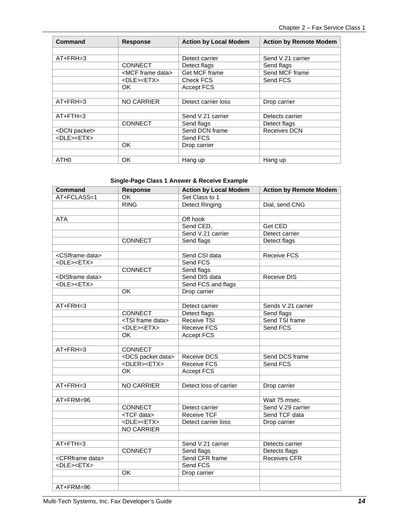| Command                | <b>Response</b>              | <b>Action by Local Modem</b> | <b>Action by Remote Modem</b> |
|------------------------|------------------------------|------------------------------|-------------------------------|
|                        |                              |                              |                               |
| $AT + FRH = 3$         |                              | Detect carrier               | Send V.21 carrier             |
|                        | <b>CONNECT</b>               | Detect flags                 | Send flags                    |
|                        | <mcf data="" frame=""></mcf> | Get MCF frame                | Send MCF frame                |
|                        | <dle><etx></etx></dle>       | Check FCS                    | Send FCS                      |
|                        | OK.                          | <b>Accept FCS</b>            |                               |
|                        |                              |                              |                               |
| $AT + FRH = 3$         | <b>NO CARRIER</b>            | Detect carrier loss          | Drop carrier                  |
|                        |                              |                              |                               |
| $AT + FTH = 3$         |                              | Send V.21 carrier            | Detects carrier               |
|                        | <b>CONNECT</b>               | Send flags                   | Detect flags                  |
| <dcn packet=""></dcn>  |                              | Send DCN frame               | Receives DCN                  |
| <dle><etx></etx></dle> |                              | Send FCS                     |                               |
|                        | OK.                          | Drop carrier                 |                               |
|                        |                              |                              |                               |
| ATH <sub>0</sub>       | <b>OK</b>                    | Hang up                      | Hang up                       |

#### **Single-Page Class 1 Answer & Receive Example**

| <b>Command</b>                | <b>Response</b>               | <b>Action by Local Modem</b> | <b>Action by Remote Modem</b> |
|-------------------------------|-------------------------------|------------------------------|-------------------------------|
| AT+FCLASS=1                   | $\overline{\text{OK}}$        | Set Class to 1               |                               |
|                               | <b>RING</b>                   | <b>Detect Ringing</b>        | Dial, send CNG                |
|                               |                               |                              |                               |
| <b>ATA</b>                    |                               | Off hook                     |                               |
|                               |                               | Send CED,                    | Get CED                       |
|                               |                               | Send V.21 carrier            | Detect carrier                |
|                               | CONNECT                       | Send flags                   | Detect flags                  |
|                               |                               |                              |                               |
| <csiframe data=""></csiframe> |                               | Send CSI data                | <b>Receive FCS</b>            |
| <dle><etx></etx></dle>        |                               | Send FCS                     |                               |
|                               | <b>CONNECT</b>                | Send flags                   |                               |
| <disframe data=""></disframe> |                               | Send DIS data                | Receive DIS                   |
| <dle><etx></etx></dle>        |                               | Send FCS and flags           |                               |
|                               | OK                            | Drop carrier                 |                               |
|                               |                               |                              |                               |
| $AT + FRH = 3$                |                               | Detect carrier               | Sends V.21 carrier            |
|                               | <b>CONNECT</b>                | Detect flags                 | Send flags                    |
|                               | <tsi data="" frame=""></tsi>  | Receive TSI                  | Send TSI frame                |
|                               | <dle><etx></etx></dle>        | <b>Receive FCS</b>           | Send FCS                      |
|                               | <b>OK</b>                     | Accept FCS                   |                               |
|                               |                               |                              |                               |
| AT+FRH=3                      | <b>CONNECT</b>                |                              |                               |
|                               | <dcs data="" packet=""></dcs> | Receive DCS                  | Send DCS frame                |
|                               | <dler><etx></etx></dler>      | <b>Receive FCS</b>           | Send FCS                      |
|                               | OK                            | Accept FCS                   |                               |
|                               |                               |                              |                               |
| AT+FRH=3                      | <b>NO CARRIER</b>             | Detect loss of carrier       | Drop carrier                  |
|                               |                               |                              |                               |
| AT+FRM=96                     |                               |                              | Wait 75 msec.                 |
|                               | <b>CONNECT</b>                | Detect carrier               | Send V.29 carrier             |
|                               | <tcf data=""></tcf>           | <b>Receive TCF</b>           | Send TCF data                 |
|                               | <dle><etx></etx></dle>        | Detect carrier loss          | Drop carrier                  |
|                               | <b>NO CARRIER</b>             |                              |                               |
|                               |                               |                              |                               |
| $AT + FTH = 3$                |                               | Send V.21 carrier            | Detects carrier               |
|                               | CONNECT                       | Send flags                   | Detects flags                 |
| <cfrframe data=""></cfrframe> |                               | Send CFR frame               | <b>Receives CFR</b>           |
| <dle><etx></etx></dle>        |                               | Send FCS                     |                               |
|                               | OK                            | Drop carrier                 |                               |
|                               |                               |                              |                               |
| $AT + FRM = 96$               |                               |                              |                               |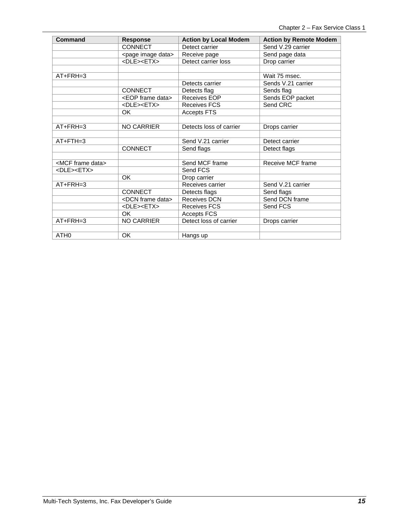| Command                      | <b>Response</b>                | <b>Action by Local Modem</b> | <b>Action by Remote Modem</b> |
|------------------------------|--------------------------------|------------------------------|-------------------------------|
|                              | <b>CONNECT</b>                 | Detect carrier               | Send V.29 carrier             |
|                              | <page data="" image=""></page> | Receive page                 | Send page data                |
|                              | <dle><etx></etx></dle>         | Detect carrier loss          | Drop carrier                  |
|                              |                                |                              |                               |
| $AT + FRH = 3$               |                                |                              | Wait 75 msec.                 |
|                              |                                | Detects carrier              | Sends V.21 carrier            |
|                              | <b>CONNECT</b>                 | Detects flag                 | Sends flag                    |
|                              | <eop data="" frame=""></eop>   | Receives EOP                 | Sends EOP packet              |
|                              | <dle><etx></etx></dle>         | Receives FCS                 | Send CRC                      |
|                              | OK.                            | <b>Accepts FTS</b>           |                               |
|                              |                                |                              |                               |
| $AT + FRH = 3$               | <b>NO CARRIER</b>              | Detects loss of carrier      | Drops carrier                 |
|                              |                                |                              |                               |
| $AT + FTH = 3$               |                                | Send V.21 carrier            | Detect carrier                |
|                              | <b>CONNECT</b>                 | Send flags                   | Detect flags                  |
|                              |                                |                              |                               |
| <mcf data="" frame=""></mcf> |                                | Send MCF frame               | Receive MCF frame             |
| <dle><etx></etx></dle>       |                                | Send FCS                     |                               |
|                              | OK.                            | Drop carrier                 |                               |
| AT+FRH=3                     |                                | Receives carrier             | Send V.21 carrier             |
|                              | <b>CONNECT</b>                 | Detects flags                | Send flags                    |
|                              | <dcn data="" frame=""></dcn>   | <b>Receives DCN</b>          | Send DCN frame                |
|                              | <dle><etx></etx></dle>         | <b>Receives FCS</b>          | Send FCS                      |
|                              | OK.                            | Accepts FCS                  |                               |
| $AT + FRH = 3$               | <b>NO CARRIER</b>              | Detect loss of carrier       | Drops carrier                 |
|                              |                                |                              |                               |
| ATH <sub>0</sub>             | OK                             | Hangs up                     |                               |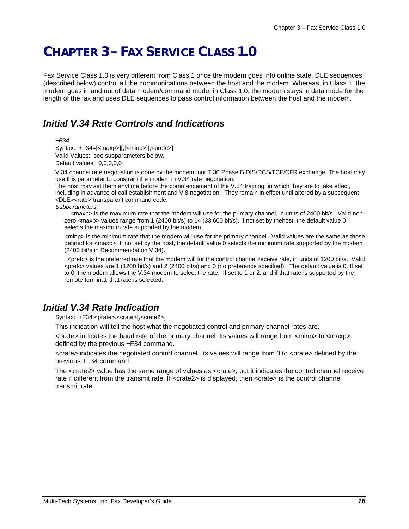## <span id="page-15-0"></span>**CHAPTER 3 – FAX SERVICE CLASS 1.0**

Fax Service Class 1.0 is very different from Class 1 once the modem goes into online state. DLE sequences (described below) control all the communications between the host and the modem. Whereas, in Class 1, the modem goes in and out of data modem/command mode; in Class 1.0, the modem stays in data mode for the length of the fax and uses DLE sequences to pass control information between the host and the modem.

### <span id="page-15-1"></span>*Initial V.34 Rate Controls and Indications*

#### *+F34*

Syntax: +F34=[<maxp>][,[<minp>][,<prefc>] Valid Values: see subparameters below. Default values: 0,0,0,0,0

V.34 channel rate negotiation is done by the modem, not T.30 Phase B DIS/DCS/TCF/CFR exchange. The host may use this parameter to constrain the modem in V.34 rate negotiation.

The host may set them anytime before the commencement of the V.34 training, in which they are to take effect, including in advance of call establishment and V.8 negotiation. They remain in effect until altered by a subsequent <DLE><rate> transparent command code.

*Subparameters:* 

 <maxp> is the maximum rate that the modem will use for the primary channel, in units of 2400 bit/s. Valid nonzero <maxp> values range from 1 (2400 bit/s) to 14 (33 600 bit/s). If not set by thehost, the default value 0 selects the maximum rate supported by the modem.

<minp> is the minimum rate that the modem will use for the primary channel. Valid values are the same as those defined for <maxp>. If not set by the host, the default value 0 selects the minimum rate supported by the modem (2400 bit/s in Recommendation V.34).

 <prefc> is the preferred rate that the modem will for the control channel receive rate, in units of 1200 bit/s. Valid <prefc> values are 1 (1200 bit/s) and 2 (2400 bit/s) and 0 (no preference specified). The default value is 0. If set to 0, the modem allows the V.34 modem to select the rate. If set to 1 or 2, and if that rate is supported by the remote terminal, that rate is selected.

### <span id="page-15-2"></span>*Initial V.34 Rate Indication*

Syntax: +F34:<prate>,<crate>[,<crate2>]

This indication will tell the host what the negotiated control and primary channel rates are.

<prate> indicates the baud rate of the primary channel. Its values will range from <minp> to <maxp> defined by the previous +F34 command.

<crate> indicates the negotiated control channel. Its values will range from 0 to <prate> defined by the previous +F34 command.

The <crate2> value has the same range of values as <crate>, but it indicates the control channel receive rate if different from the transmit rate. If <crate2> is displayed, then <crate> is the control channel transmit rate.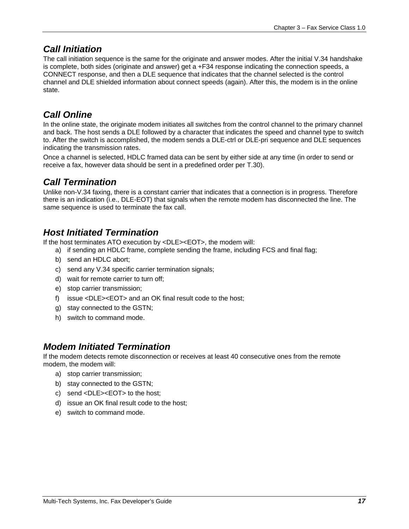### <span id="page-16-0"></span>*Call Initiation*

The call initiation sequence is the same for the originate and answer modes. After the initial V.34 handshake is complete, both sides (originate and answer) get a +F34 response indicating the connection speeds, a CONNECT response, and then a DLE sequence that indicates that the channel selected is the control channel and DLE shielded information about connect speeds (again). After this, the modem is in the online state.

### <span id="page-16-1"></span>*Call Online*

In the online state, the originate modem initiates all switches from the control channel to the primary channel and back. The host sends a DLE followed by a character that indicates the speed and channel type to switch to. After the switch is accomplished, the modem sends a DLE-ctrl or DLE-pri sequence and DLE sequences indicating the transmission rates.

Once a channel is selected, HDLC framed data can be sent by either side at any time (in order to send or receive a fax, however data should be sent in a predefined order per T.30).

### <span id="page-16-2"></span>*Call Termination*

Unlike non-V.34 faxing, there is a constant carrier that indicates that a connection is in progress. Therefore there is an indication (i.e., DLE-EOT) that signals when the remote modem has disconnected the line. The same sequence is used to terminate the fax call.

### <span id="page-16-3"></span>*Host Initiated Termination*

If the host terminates ATO execution by <DLE><EOT>, the modem will:

- a) if sending an HDLC frame, complete sending the frame, including FCS and final flag;
- b) send an HDLC abort;
- c) send any V.34 specific carrier termination signals;
- d) wait for remote carrier to turn off;
- e) stop carrier transmission;
- f) issue <DLE><EOT> and an OK final result code to the host;
- g) stay connected to the GSTN;
- h) switch to command mode.

### <span id="page-16-4"></span>*Modem Initiated Termination*

If the modem detects remote disconnection or receives at least 40 consecutive ones from the remote modem, the modem will:

- a) stop carrier transmission;
- b) stay connected to the GSTN;
- c) send <DLE><EOT> to the host;
- d) issue an OK final result code to the host;
- e) switch to command mode.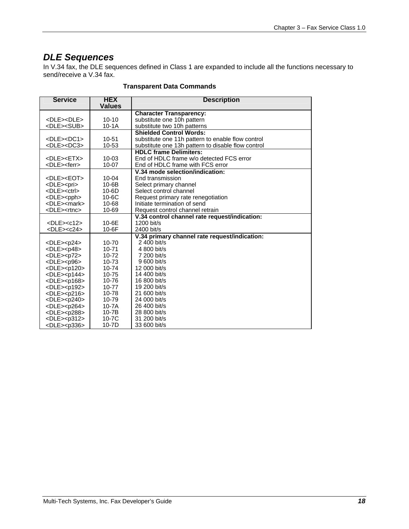### *DLE Sequences*

<span id="page-17-0"></span>In V.34 fax, the DLE sequences defined in Class 1 are expanded to include all the functions necessary to send/receive a V.34 fax.

| <b>Service</b>           | <b>HEX</b><br><b>Values</b> | <b>Description</b>                                 |
|--------------------------|-----------------------------|----------------------------------------------------|
|                          |                             | <b>Character Transparency:</b>                     |
| <dle><dle></dle></dle>   | $10 - 10$                   | substitute one 10h pattern                         |
| <dle><sub></sub></dle>   | $10-1A$                     | substitute two 10h patterns                        |
|                          |                             | <b>Shielded Control Words:</b>                     |
| <dle><dc1></dc1></dle>   | $10 - 51$                   | substitute one 11h pattern to enable flow control  |
| <dle><dc3></dc3></dle>   | $10 - 53$                   | substitute one 13h pattern to disable flow control |
|                          |                             | <b>HDLC frame Delimiters:</b>                      |
| <dle><etx></etx></dle>   | $10 - 03$                   | End of HDLC frame w/o detected FCS error           |
| <dle><ferr></ferr></dle> | $10 - 07$                   | End of HDLC frame with FCS error                   |
|                          |                             | V.34 mode selection/indication:                    |
| <dle><eot></eot></dle>   | $10 - 04$                   | End transmission                                   |
| <dle><pri></pri></dle>   | $10 - 6B$                   | Select primary channel                             |
| <dle><ctrl></ctrl></dle> | $10 - 6D$                   | Select control channel                             |
| <dle><pph></pph></dle>   | $10-6C$                     | Request primary rate renegotiation                 |
| <dle><mark></mark></dle> | 10-68                       | Initiate termination of send                       |
| <dle><rtnc></rtnc></dle> | 10-69                       | Request control channel retrain                    |
|                          |                             | V.34 control channel rate request/indication:      |
| $<$ DLE $>$ $<$ c12 $>$  | 10-6E                       | 1200 bit/s                                         |
| $<$ DLE $>$ $<$ c24 $>$  | $10-6F$                     | 2400 bit/s                                         |
|                          |                             | V.34 primary channel rate request/indication:      |
| <dle><p24></p24></dle>   | 10-70                       | 2 400 bit/s                                        |
| <dle><p48></p48></dle>   | $10 - 71$                   | 4 800 bit/s                                        |
| <dle><p72></p72></dle>   | $10 - 72$                   | 7 200 bit/s                                        |
| <dle><p96></p96></dle>   | $10 - 73$                   | 9 600 bit/s                                        |
| <dle><p120></p120></dle> | $10 - 74$                   | 12 000 bit/s                                       |
| <dle><p144></p144></dle> | 10-75                       | 14 400 bit/s                                       |
| <dle><p168></p168></dle> | 10-76                       | 16 800 bit/s                                       |
| <dle><p192></p192></dle> | $10 - 77$                   | 19 200 bit/s                                       |
| <dle><p216></p216></dle> | $10 - 78$                   | 21 600 bit/s                                       |
| <dle><p240></p240></dle> | 10-79                       | 24 000 bit/s                                       |
| <dle><p264></p264></dle> | $10-7A$                     | 26 400 bit/s                                       |
| <dle><p288></p288></dle> | $10-7B$                     | 28 800 bit/s                                       |
| <dle><p312></p312></dle> | 10-7C                       | 31 200 bit/s                                       |
| <dle><p336></p336></dle> | 10-7D                       | 33 600 bit/s                                       |

#### **Transparent Data Commands**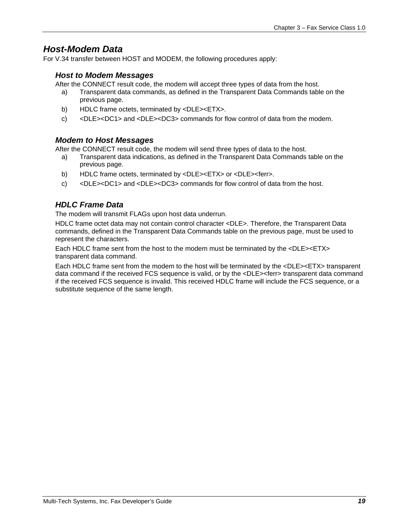### <span id="page-18-0"></span>*Host-Modem Data*

<span id="page-18-1"></span>For V.34 transfer between HOST and MODEM, the following procedures apply:

#### *Host to Modem Messages*

After the CONNECT result code, the modem will accept three types of data from the host.

- a) Transparent data commands, as defined in the Transparent Data Commands table on the previous page.
- b) HDLC frame octets, terminated by <DLE><ETX>.
- c) <DLE><DC1> and <DLE><DC3> commands for flow control of data from the modem.

#### <span id="page-18-2"></span>*Modem to Host Messages*

After the CONNECT result code, the modem will send three types of data to the host.

- a) Transparent data indications, as defined in the Transparent Data Commands table on the previous page.
- b) HDLC frame octets, terminated by <DLE><ETX> or <DLE><ferr>.
- c) <DLE><DC1> and <DLE><DC3> commands for flow control of data from the host.

### <span id="page-18-3"></span>*HDLC Frame Data*

The modem will transmit FLAGs upon host data underrun.

HDLC frame octet data may not contain control character <DLE>. Therefore, the Transparent Data commands, defined in the Transparent Data Commands table on the previous page, must be used to represent the characters.

Each HDLC frame sent from the host to the modem must be terminated by the <DLE><ETX> transparent data command.

Each HDLC frame sent from the modem to the host will be terminated by the <DLE><ETX> transparent data command if the received FCS sequence is valid, or by the <DLE><ferr>transparent data command if the received FCS sequence is invalid. This received HDLC frame will include the FCS sequence, or a substitute sequence of the same length.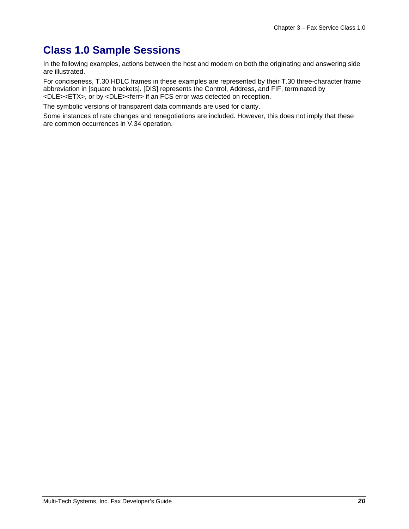### <span id="page-19-0"></span>**Class 1.0 Sample Sessions**

In the following examples, actions between the host and modem on both the originating and answering side are illustrated.

For conciseness, T.30 HDLC frames in these examples are represented by their T.30 three-character frame abbreviation in [square brackets]. [DIS] represents the Control, Address, and FIF, terminated by <DLE><ETX>, or by <DLE><ferr> if an FCS error was detected on reception.

The symbolic versions of transparent data commands are used for clarity.

Some instances of rate changes and renegotiations are included. However, this does not imply that these are common occurrences in V.34 operation.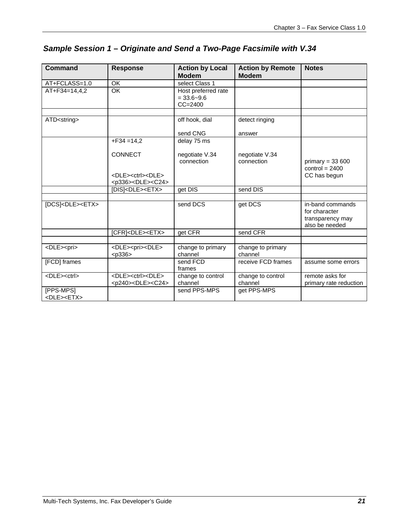| <b>Command</b>               | <b>Response</b>                     | <b>Action by Local</b> | <b>Action by Remote</b> | <b>Notes</b>           |
|------------------------------|-------------------------------------|------------------------|-------------------------|------------------------|
|                              |                                     | <b>Modem</b>           | <b>Modem</b>            |                        |
| AT+FCLASS=1.0                | <b>OK</b>                           | select Class 1         |                         |                        |
| AT+F34=14,4,2                | <b>OK</b>                           | Host preferred rate    |                         |                        |
|                              |                                     | $= 33.6 - 9.6$         |                         |                        |
|                              |                                     | $CC=2400$              |                         |                        |
|                              |                                     |                        |                         |                        |
| ATD <string></string>        |                                     | off hook, dial         | detect ringing          |                        |
|                              |                                     |                        |                         |                        |
|                              |                                     | send CNG               | answer                  |                        |
|                              | $+F34 = 14.2$                       | delay 75 ms            |                         |                        |
|                              |                                     |                        |                         |                        |
|                              | <b>CONNECT</b>                      | negotiate V.34         | negotiate V.34          |                        |
|                              |                                     | connection             | connection              | primary = $33600$      |
|                              |                                     |                        |                         | $control = 2400$       |
|                              | <dle><ctrl><dle></dle></ctrl></dle> |                        |                         | CC has begun           |
|                              | <p336><dle><c24></c24></dle></p336> |                        |                         |                        |
|                              | [DIS] <dle><etx></etx></dle>        | get DIS                | send DIS                |                        |
|                              |                                     |                        |                         |                        |
| [DCS] <dle><etx></etx></dle> |                                     | send DCS               | get DCS                 | in-band commands       |
|                              |                                     |                        |                         | for character          |
|                              |                                     |                        |                         | transparency may       |
|                              |                                     |                        |                         | also be needed         |
|                              | [CFR] <dle><etx></etx></dle>        | get CFR                | send CFR                |                        |
|                              |                                     |                        |                         |                        |
| <dle><pri></pri></dle>       | <dle><pri><dle></dle></pri></dle>   | change to primary      | change to primary       |                        |
|                              | $<$ p336>                           | channel                | channel                 |                        |
| [FCD] frames                 |                                     | send FCD               | receive FCD frames      | assume some errors     |
|                              |                                     | frames                 |                         |                        |
| <dle><ctrl></ctrl></dle>     | <dle><ctrl><dle></dle></ctrl></dle> | change to control      | change to control       | remote asks for        |
|                              | <p240><dle><c24></c24></dle></p240> | channel                | channel                 | primary rate reduction |
| [PPS-MPS]                    |                                     | send PPS-MPS           | get PPS-MPS             |                        |
| <dle><etx></etx></dle>       |                                     |                        |                         |                        |

### <span id="page-20-0"></span>*Sample Session 1* **–** *Originate and Send a Two-Page Facsimile with V.34*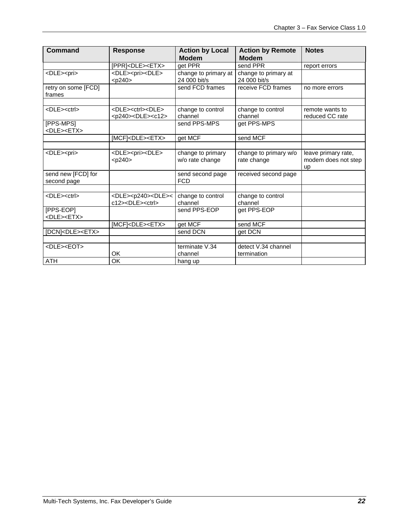| <b>Command</b>                      | <b>Response</b>                                                             | <b>Action by Local</b><br><b>Modem</b> | <b>Action by Remote</b><br><b>Modem</b> | <b>Notes</b>                                            |
|-------------------------------------|-----------------------------------------------------------------------------|----------------------------------------|-----------------------------------------|---------------------------------------------------------|
|                                     | [PPR] <dle><etx></etx></dle>                                                | get PPR                                | send PPR                                | report errors                                           |
| <dle><pri></pri></dle>              | <dle><pri><dle><br/><math>&lt;</math>p240&gt;</dle></pri></dle>             | change to primary at<br>24 000 bit/s   | change to primary at<br>24 000 bit/s    |                                                         |
| retry on some [FCD]<br>frames       |                                                                             | send FCD frames                        | receive FCD frames                      | no more errors                                          |
|                                     |                                                                             |                                        |                                         |                                                         |
| <dle><ctrl></ctrl></dle>            | <dle><ctrl><dle><br/><p240><dle><c12></c12></dle></p240></dle></ctrl></dle> | change to control<br>channel           | change to control<br>channel            | remote wants to<br>reduced CC rate                      |
| [PPS-MPS]<br><dle><etx></etx></dle> |                                                                             | send PPS-MPS                           | get PPS-MPS                             |                                                         |
|                                     | [MCF] <dle><etx></etx></dle>                                                | get MCF                                | send MCF                                |                                                         |
|                                     |                                                                             |                                        |                                         |                                                         |
| <dle><pri></pri></dle>              | <dle><pri><dle><br/><math>&lt;</math>p240&gt;</dle></pri></dle>             | change to primary<br>w/o rate change   | change to primary w/o<br>rate change    | leave primary rate,<br>modem does not step<br><b>up</b> |
| send new [FCD] for<br>second page   |                                                                             | send second page<br><b>FCD</b>         | received second page                    |                                                         |
|                                     |                                                                             |                                        |                                         |                                                         |
| <dle><ctrl></ctrl></dle>            | <dle><p240><dle>&lt;<br/>c12&gt;<dle><ctrl></ctrl></dle></dle></p240></dle> | change to control<br>channel           | change to control<br>channel            |                                                         |
| [PPS-EOP]<br><dle><etx></etx></dle> |                                                                             | send PPS-EOP                           | get PPS-EOP                             |                                                         |
|                                     | [MCF] <dle><etx></etx></dle>                                                | get MCF                                | send MCF                                |                                                         |
| [DCN] <dle><etx></etx></dle>        |                                                                             | send DCN                               | get DCN                                 |                                                         |
|                                     |                                                                             |                                        |                                         |                                                         |
| <dle><eot></eot></dle>              | OK                                                                          | terminate V.34<br>channel              | detect V.34 channel<br>termination      |                                                         |
| <b>ATH</b>                          | OK                                                                          | hang up                                |                                         |                                                         |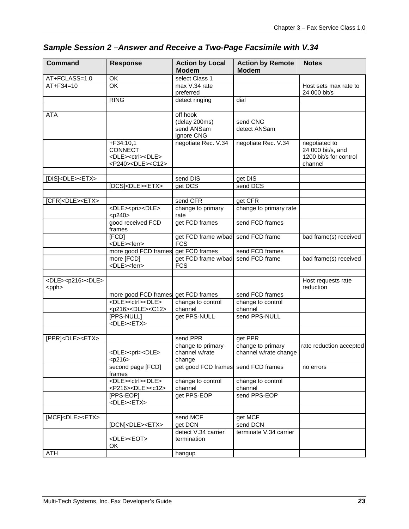| <b>Command</b>                      | <b>Response</b>                                                                                       | <b>Action by Local</b><br><b>Modem</b>                | <b>Action by Remote</b><br><b>Modem</b>    | <b>Notes</b>                                                            |
|-------------------------------------|-------------------------------------------------------------------------------------------------------|-------------------------------------------------------|--------------------------------------------|-------------------------------------------------------------------------|
| AT+FCLASS=1.0                       | OK                                                                                                    | select Class 1                                        |                                            |                                                                         |
| $AT + F34 = 10$                     | $\overline{\alpha}$                                                                                   | max V.34 rate<br>preferred                            |                                            | Host sets max rate to<br>24 000 bit/s                                   |
|                                     | <b>RING</b>                                                                                           | detect ringing                                        | dial                                       |                                                                         |
|                                     |                                                                                                       |                                                       |                                            |                                                                         |
| <b>ATA</b>                          |                                                                                                       | off hook<br>(delay 200ms)<br>send ANSam<br>ignore CNG | send CNG<br>detect ANSam                   |                                                                         |
|                                     | $+F34:10,1$<br>CONNECT<br><dle><ctrl><dle><br/><p240><dle><c12></c12></dle></p240></dle></ctrl></dle> | negotiate Rec. V.34                                   | negotiate Rec. V.34                        | negotiated to<br>24 000 bit/s, and<br>1200 bit/s for control<br>channel |
|                                     |                                                                                                       |                                                       |                                            |                                                                         |
| [DIS] <dle><etx></etx></dle>        |                                                                                                       | send DIS                                              | get DIS                                    |                                                                         |
|                                     | [DCS] <dle><etx></etx></dle>                                                                          | get DCS                                               | send DCS                                   |                                                                         |
| [CFR] <dle><etx></etx></dle>        |                                                                                                       | send CFR                                              | get CFR                                    |                                                                         |
|                                     | <dle><pri><dle></dle></pri></dle>                                                                     | change to primary                                     | change to primary rate                     |                                                                         |
|                                     | $<$ p240>                                                                                             | rate                                                  |                                            |                                                                         |
|                                     | good received FCD<br>frames                                                                           | get FCD frames                                        | send FCD frames                            |                                                                         |
|                                     | [FCD]<br><dle><ferr></ferr></dle>                                                                     | get FCD frame w/bad send FCD frame<br><b>FCS</b>      |                                            | bad frame(s) received                                                   |
|                                     | more good FCD frames                                                                                  | get FCD frames                                        | send FCD frames                            |                                                                         |
|                                     | more [FCD]<br><dle><ferr></ferr></dle>                                                                | get FCD frame w/bad<br><b>FCS</b>                     | send FCD frame                             | bad frame(s) received                                                   |
| <dle><p216><dle></dle></p216></dle> |                                                                                                       |                                                       |                                            | Host requests rate                                                      |
| <pph></pph>                         |                                                                                                       |                                                       |                                            | reduction                                                               |
|                                     | more good FCD frames                                                                                  | get FCD frames                                        | send FCD frames                            |                                                                         |
|                                     | <dle><ctrl><dle><br/><p216><dle><c12></c12></dle></p216></dle></ctrl></dle>                           | change to control<br>channel                          | change to control<br>channel               |                                                                         |
|                                     | [PPS-NULL]<br><dle><etx></etx></dle>                                                                  | get PPS-NULL                                          | send PPS-NULL                              |                                                                         |
| [PPR] <dle><etx></etx></dle>        |                                                                                                       | send PPR                                              | get PPR                                    |                                                                         |
|                                     | <dle><pri><dle><br/><math>&lt;</math>p216&gt;</dle></pri></dle>                                       | change to primary<br>channel w/rate<br>change         | change to primary<br>channel w/rate change | rate reduction accepted                                                 |
|                                     | second page [FCD]<br>frames                                                                           | get good FCD frames send FCD frames                   |                                            | no errors                                                               |
|                                     | <dle><ctrl><dle><br/><p216><dle><c12></c12></dle></p216></dle></ctrl></dle>                           | change to control<br>channel                          | change to control<br>channel               |                                                                         |
|                                     | [PPS-EOP]<br><dle><etx></etx></dle>                                                                   | get PPS-EOP                                           | send PPS-EOP                               |                                                                         |
|                                     |                                                                                                       |                                                       |                                            |                                                                         |
| [MCF] <dle><etx></etx></dle>        |                                                                                                       | send MCF                                              | get MCF                                    |                                                                         |
|                                     | [DCN] <dle><etx></etx></dle>                                                                          | get DCN                                               | send DCN                                   |                                                                         |
|                                     | <dle><eot><br/>OK</eot></dle>                                                                         | detect V.34 carrier<br>termination                    | terminate V.34 carrier                     |                                                                         |
| ATH                                 |                                                                                                       | hangup                                                |                                            |                                                                         |

### <span id="page-22-0"></span>*Sample Session 2 –Answer and Receive a Two-Page Facsimile with V.34*